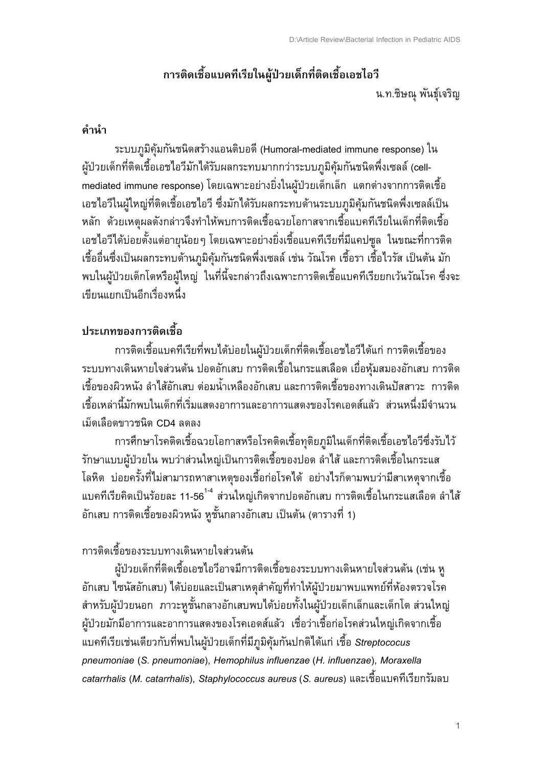# ี การติดเชื้อแบคทีเรียในผู้ป่วยเด็กที่ติดเชื้อเอชไอวี

น.ท.ชิษณุ พันธุ์เจริญ

#### คำนำ

ระบบภูมิคุ้มกันชนิดสร้างแอนติบอดี (Humoral-mediated immune response) ใน ผู้ป่วยเด็กที่ติดเชื้อเอชไอวีมักได้รับผลกระทบมากกว่าระบบภูมิคุ้มกันชนิดพึ่งเซลล์ (cellmediated immune response) โดยเฉพาะอย่างยิ่งในผู้ป่วยเด็กเล็ก แตกต่างจากการติดเชื้อ ้เอชไอวีในผู้ใหญ่ที่ติดเชื้อเอชไอวี ซึ่งมักได้รับผลกระทบด้านระบบภูมิคุ้มกันชนิดพึ่งเซลล์เป็น หลัก ด้วยเหตุผลดังกล่าวจึงทำให้พบการติดเชื้อฉวยโอกาสจากเชื้อแบคทีเรียในเด็กที่ติดเชื้อ ้เอชไอวีได้บ่อยตั้งแต่อายุน้อย ๆ โดยเฉพาะอย่างยิ่งเชื้อแบคทีเรียที่มีแคปซูล ในขณะที่การติด เชื้ออื่นซึ่งเป็นผลกระทบด้านภูมิคุ้มกันชนิดพึ่งเซลล์ เช่น วัณโรค เชื้อรา เชื้อไวรัส เป็นต้น มัก ้ พบในผู้ป่วยเด็กโตหรือผู้ใหญ่ ในที่นี้จะกล่าวถึงเฉพาะการติดเชื้อแบคทีเรียยกเว้นวัณโรค ซึ่งจะ เขียนแยกเป็นอีกเรื่องหนึ่ง

## ประเภทของการติดเชื้อ

การติดเชื้อแบคทีเรียที่พบได้บ่อยในผู้ป่วยเด็กที่ติดเชื้อเอชไอวีได้แก่ การติดเชื้อของ ระบบทางเดินหายใจส่วนต้น ปอดอักเสบ การติดเชื้อในกระแสเลือด เยื่อหุ้มสมองอักเสบ การติด เชื้อของผิวหนัง ลำไส้อักเสบ ต่อมน้ำเหลืองอักเสบ และการติดเชื้อของทางเดินปัสสาวะ การติด เชื้อเหล่านี้มักพบในเด็กที่เริ่มแสดงอาการและอาการแสดงของโรคเอดส์แล้ว ส่วนหนึ่งมีจำนวน เม็ดเลือดขาวชนิด CD4 ลดลง

การศึกษาโรคติดเชื้อฉวยโอกาสหรือโรคติดเชื้อทุติยภูมิในเด็กที่ติดเชื้อเอชไอวีซึ่งรับไว้ รักษาแบบผู้ป่วยใน พบว่าส่วนใหญ่เป็นการติดเชื้อของปอด ลำไส้ และการติดเชื้อในกระแส โลหิต บ่อยครั้งที่ไม่สามารถหาสาเหตุของเชื้อก่อโรคได้ อย่างไรก็ตามพบว่ามีสาเหตุจากเชื้อ ี แบคทีเรียคิดเป็นร้อยละ 11-56<sup>1-4</sup> ส่วนใหญ่เกิดจากปอดอักเสบ การติดเชื้อในกระแสเลือด ลำไส้ อักเสบ การติดเชื้อของผิวหนัง หูชั้นกลางอักเสบ เป็นต้น (ตารางที่ 1)

## การติดเชื้อของระบบทางเดินหายใจส่วนต้น

ผู้ป่วยเด็กที่ติดเชื้อเอชไอวีอาจมีการติดเชื้อของระบบทางเดินหายใจส่วนต้น (เช่น หู อักเสบ ไซนัสอักเสบ) ได้บ่อยและเป็นสาเหตุสำคัญที่ทำให้ผู้ป่วยมาพบแพทย์ที่ห้องตรวจโรค ้สำหรับผู้ป่วยนอก ภาวะหูชั้นกลางอักเสบพบได้บ่อยทั้งในผู้ป่วยเด็กเล็กและเด็กโต ส่วนใหญ่ ผู้ป่วยมักมีอาการและอาการแสดงของโรคเอดส์แล้ว เชื่อว่าเชื้อก่อโรคส่วนใหญ่เกิดจากเชื้อ แบคทีเรียเช่นเดียวกับที่พบในผู้ป่วยเด็กที่มีภูมิคุ้มกันปกติได้แก่ เชื้อ Streptococus pneumoniae (S. pneumoniae), Hemophilus influenzae (H. influenzae), Moraxella catarrhalis (M. catarrhalis), Staphylococcus aureus (S. aureus) และเชื้อแบคทีเรียกรัมลบ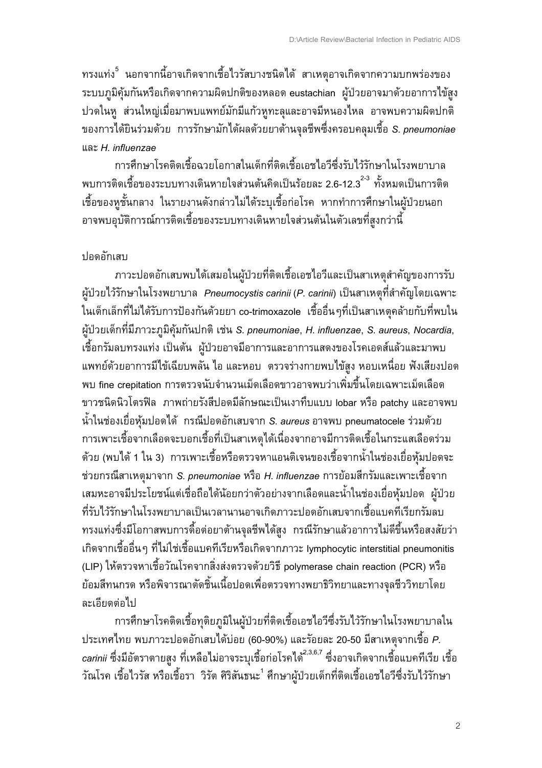ิ ทรงแท่ง<sup>5</sup> นอกจากนี้อาจเกิดจากเชื้อไวรัสบางชนิดได้ สาเหตุอาจเกิดจากความบกพร่องของ ระบบภูมิคุ้มกันหรือเกิดจากความผิดปกติของหลอด eustachian ผู้ป่วยอาจมาด้วยอาการไข้สูง ปวดในหู ส่วนใหญ่เมื่อมาพบแพทย์มักมีแก้วหูทะลุและอาจมีหนองไหล อาจพบความผิดปกติ ของการได้ยินร่วมด้วย การรักษามักได้ผลด้วยยาต้านจุลชีพซึ่งครอบคลุมเชื้อ S. pneumoniae และ H. influenzae

การศึกษาโรคติดเชื้อฉายโอกาสในเด็กที่ติดเชื้อเอชไอวีซึ่งรับไว้รักษาในโรงพยาบาล พบการติดเชื้อของระบบทางเดินหายใจส่วนต้นคิดเป็นร้อยละ 2.6-12.3 \* ทั้งหมดเป็นการติด เชื้อของหูชั้นกลาง ในรายงานดังกล่าวไม่ได้ระบุเชื้อก่อโรค หากทำการศึกษาในผู้ป่วยนอก ้อาจพบอุบัติการณ์การติดเชื้อของระบบทางเดินหายใจส่วนต้นในตัวเลขที่สูงกว่านี้

#### ปอดอักเสบ

่ ภาวะปอดอักเสบพบได้เสมอในผู้ป่วยที่ติดเชื้อเอชไอวีและเป็นสาเหตุสำคัญของการรับ ผู้ป่วยไว้รักษาในโรงพยาบาล Pneumocystis carinii (P. carinii) เป็นสาเหตุที่สำคัญโดยเฉพาะ ่ ในเด็กเล็กที่ไม่ได้รับการป้องกันด้วยยา co-trimoxazole เชื้ออื่นๆที่เป็นสาเหตุคล้ายกับที่พบใน ผู้ป่วยเด็กที่มีภาวะภูมิคุ้มกันปกติ เช่น S. pneumoniae, H. influenzae, S. aureus, Nocardia, ้เชื้อกรัมลบทรงแท่ง เป็นต้น ผู้ป่วยอาจมีอาการและอาการแสดงของโรคเอดส์แล้วและมาพบ แพทย์ด้วยอาการมีไข้เฉียบพลัน ไอ และหอบ ตรวจร่างกายพบไข้สูง หอบเหนื่อย ฟังเสียงปอด พบ fine crepitation การตรวจนับจำนวนเม็ดเลือดขาวอาจพบว่าเพิ่มขึ้นโดยเฉพาะเม็ดเลือด ขาวชนิดนิวโตรฟิล ภาพถ่ายรังสีปอดมีลักษณะเป็นเงาทึบแบบ lobar หรือ patchy และอาจพบ น้ำในช่องเยื่อหุ้มปอดได้ กรณีปอดอักเสบจาก S. aureus อาจพบ pneumatocele ร่วมด้วย ้การเพาะเชื้อจากเลือดจะบอกเชื้อที่เป็นสาเหตุได้เนื่องจากอาจมีการติดเชื้อในกระแสเลือดร่วม ด้วย (พบได้ 1 ใน 3) การเพาะเชื้อหรือตรวจหาแอนติเจนของเชื้อจากน้ำในช่องเยื่อหุ้มปอดจะ ช่วยกรณีสาเหตุมาจาก S. pneumoniae หรือ H. influenzae การย้อมสีกรัมและเพาะเชื้อจาก ้เสมหะอาจมีประโยชน์แต่เชื่อถือได้น้อยกว่าตัวอย่างจากเลือดและน้ำในช่องเยื่อหุ้มปอด ผู้ป่วย ที่รับไว้รักษาในโรงพยาบาลเป็นเวลานานอาจเกิดภาวะปอดอักเสบจากเชื้อแบคทีเรียกรัมลบ ้ ทรงแท่งซึ่งมีโอกาสพบการดื้อต่อยาต้านจุลชีพได้สูง กรณีรักษาแล้วอาการไม่ดีขึ้นหรือสงสัยว่า ้เกิดจากเชื้ออื่นๆ ที่ไม่ใช่เชื้อแบคทีเรียหรือเกิดจากภาวะ lymphocytic interstitial pneumonitis (LIP) ให้ตรวจหาเชื้อวัณโรคจากสิ่งส่งตรวจด้วยวิธี polymerase chain reaction (PCR) หรือ ย้อมสีทนกรด หรือพิจารณาตัดชิ้นเนื้อปอดเพื่อตรวจทางพยาธิวิทยาและทางจุลชีววิทยาโดย ละเอียดต่อไป

การศึกษาโรคติดเชื้อทุติยภูมิในผู้ป่วยที่ติดเชื้อเอชไอวีซึ่งรับไว้รักษาในโรงพยาบาลใน ประเทศไทย พบภาวะปอดอักเสบได้บ่อย (60-90%) และร้อยละ 20-50 มีสาเหตุจากเชื้อ P. *carinii* ซึ่งมีอัตราตายสูง ที่เหลือไม่อาจระบุเชื้อก่อโรคได้<sup>2,3,6,7</sup> ซึ่งอาจเกิดจากเชื้อแบคทีเรีย เชื้อ ี วัณโรค เชื้อไวรัส หรือเชื้อรา วิรัต ศิริสันธนะ <sup>1</sup> ศึกษาผู้ป่วยเด็กที่ติดเชื้อเอชไอวีซึ่งรับไว้รักษา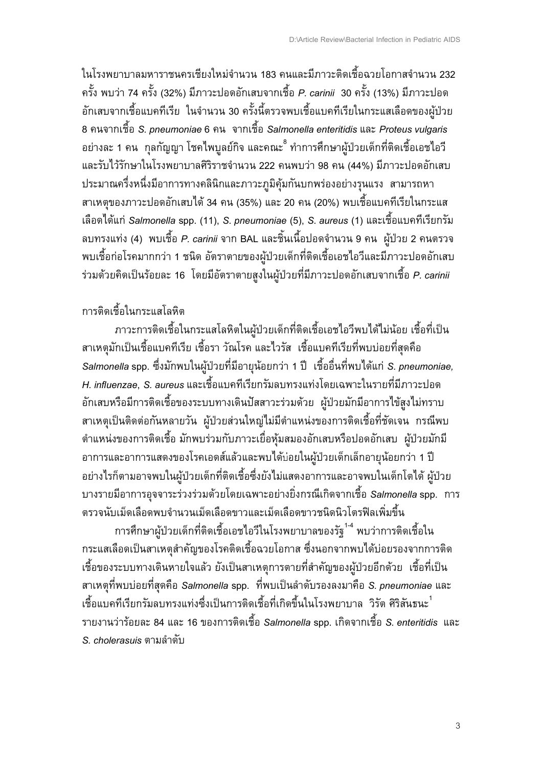ในโรงพยาบาลมหาราชนครเชียงใหม่จำนวน 183 คนและมีภาวะติดเชื้อฉวยโอกาสจำนวน 232 ี ครั้ง พบว่า 74 ครั้ง (32%) มีภาวะปอดอักเสบจากเชื้อ *P. carinii* 30 ครั้ง (13%) มีภาวะปอด ้อักเสบจากเชื้อแบคทีเรีย ในจำนวน 30 ครั้งนี้ตรวจพบเชื้อแบคทีเรียในกระแสเลือดของผู้ป่วย 8 -%2ก\$HI5 *S. pneumoniae* 6 - %2ก\$HI5 *Salmonella enteritidis* 4K( *Proteus vulgaris*  อย่างละ 1 คน กุลกัญญา โชคไพบูลย์กิจ และคณะ<sup>8</sup> ทำการศึกษาผู้ป่วยเด็กที่ติดเชื้อเอชไอวี และรับไว้รักษาในโรงพยาบาลศิริราชจำนวน 222 คนพบว่า 98 คน (44%) มีภาวะปอดอักเสบ ประมาณครึ่งหนึ่งมีอาการทางคลินิกและภาวะภูมิคุ้มกันบกพร่องอย่างรุนแรง สามารถหา สาเหตุของภาวะปอดอักเสบได้ 34 คน (35%) และ 20 คน (20%) พบเชื้อแบคทีเรียในกระแส ้เลือดได้แก่ *Salmonella* spp. (11), *S. pneumoniae* (5), *S. aureus* (1) และเชื้อแบคทีเรียกรัม ิลบทรงแท่ง (4) พบเชื้อ *P. carinii* จาก BAL และชิ้นเนื้อปอดจำนวน 9 คน ผู้ป่วย 2 คนตรวจ ้ พบเชื้อก่อโรคมากกว่า 1 ชนิด อัตราตายของผู้ป่วยเด็กที่ติดเชื้อเอชไอวีและมีภาวะปอดอักเสบ ้ร่วมด้วยคิดเป็นร้อยละ 16 โดยมีอัตราตายสูงในผู้ป่วยที่มีภาวะปอดอักเสบจากเชื้อ *P. carinii* 

### การติดเชื้อในกระแสโลหิต

.ภาวะการติดเชื้อในกระแสโลหิตในผู้ป่วยเด็กที่ติดเชื้อเอชไอวีพบได้ไม่น้อย เชื้อที่เป็น สาเหตุมักเป็นเชื้อแบคทีเรีย เชื้อรา วัณโรค และไวรัส เชื้อแบคทีเรียที่พบบ่อยที่สุดคือ *Salmonella* spp. ซึ่งมักพบในผู้ป่วยที่มีอายุน้อยกว่า 1 ปี เชื้ออื่นที่พบได้แก่ *S. pneumoniae, H. influenzae*, *S. aureus* และเชื้อแบคทีเรียกรัมลบทรงแท่งโดยเฉพาะในรายที่มีภาวะปอด อักเสบหรือมีการติดเชื้อของระบบทางเดินปัสสาวะร่วมด้วย ผู้ป่วยมักมีอาการไข้สูงไม่ทราบ ิสาเหตุเป็นติดต่อกันหลายวัน ผู้ป่วยส่วนใหญ่ไม่มีตำแหน่งของการติดเชื้อที่ชัดเจน กรณีพบ ดำแหน่งของการติดเชื้อ มักพบร่วมกับภาวะเยื่อหุ้มสมองอักเสบหรือปอดอักเสบ ผู้ป่วยมักมี อาการและอาการแสดงของโรคเอดส์แล้วและพบได้บ่อยในผู้ป่วยเด็กเล็กอายุน้อยกว่า 1 ปี ้อย่างไรก็ตามอาจพบในผู้ป่วยเด็กที่ติดเชื้อซึ่งยังไม่แสดงอาการและอาจพบในเด็กโตได้ ผู้ป่วย ้ บางรายมีอาการอุจจาระร่วงร่วมด้วยโดยเฉพาะอย่างยิ่งกรณีเกิดจากเชื้อ *Salmonella* spp. การ ตรวจนับเม็ดเลือดพบจำนวนเม็ดเลือดขาวและเม็ดเลือดขาวชนิดนิวโตรฟิลเพิ่มขึ้น

การศึกษาผู้ป่วยเด็กที่ติดเชื้อเอชไอวีในโรงพยาบาลของรัฐ<sup>1-4</sup> พบว่าการติดเชื้อใน ึ กระแสเลือดเป็นสาเหตุสำคัญของโรคติดเชื้อฉวยโอกาส ซึ่งนอกจากพบได้บ่อยรองจากการติด ี่ เชื้อของระบบทางเดินหายใจแล้ว ยังเป็นสาเหตุการตายที่สำคัญของผู้ป่วยอีกด้วย เชื้อที่เป็น ี สาเหตุที่พบบ่อยที่สุดคือ *Salmonella* spp. ที่พบเป็นลำดับรองลงมาคือ *S. pneumoniae* และ ้เชื้อแบคทีเรียกรัมลบทรงแท่งซึ่งเป็นการติดเชื้อที่เกิดขึ้นในโรงพยาบาล วิรัต ศิริสันธนะ <sup>1</sup> ้รายงานว่าร้อยละ 84 และ 16 ของการติดเชื้อ *Salmonella* spp. เกิดจากเชื้อ *S. enteritidis* และ *S. cholerasuis ตามลำดับ* 

3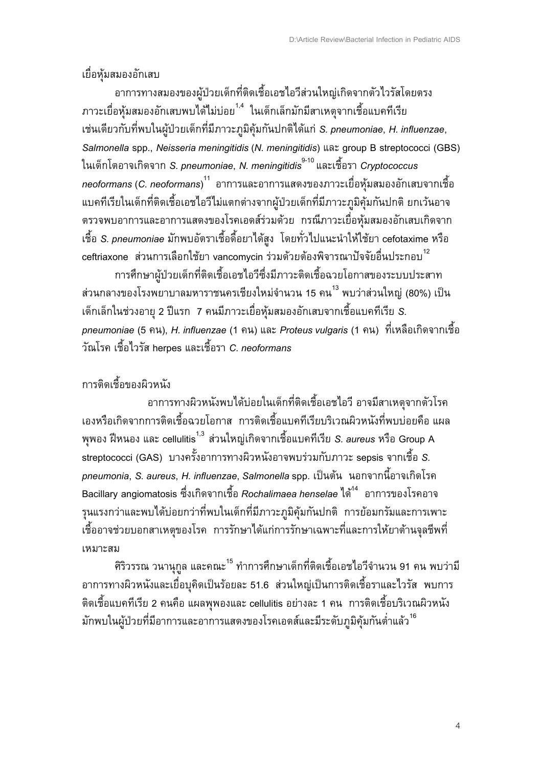#### เยื่อห้มสมองอักเสบ

อาการทางสมองของผู้ป่วยเด็กที่ติดเชื้อเอชไอวีส่วนใหญ่เกิดจากตัวไวรัสโดยตรง ี ภาวะเยื่อหุ้มสมองอักเสบพบได<sup>้</sup>ไม่บ่อย<sup>1,4</sup> ในเด็กเล็กมักมีสาเหตุจากเชื้อแบคทีเรีย เช่นเดียวกับที่พบในผู้ป่วยเด็กที่มีภาวะภูมิคุ้มกันปกติได้แก่ S. pneumoniae, H. influenzae, *Salmonella* spp., *Neisseria meningitidis* (*N. meningitidis*) 4K( group B streptococci (GBS) ในเด็กโตอาจเกิดจาก *S. pneumoniae, N. meningitidis<sup>°-10</sup> แ*ละเชื้อรา *Cryptococcus neoformans* (*C. neoformans*) <sup>11</sup> อาการและอาการแสดงของภาวะเยื่อหุ้มสมองอักเสบจากเชื้อ แบคทีเรียในเด็กที่ติดเชื้อเอชไอวีไม่แตกต่างจากผู้ป่วยเด็กที่มีภาวะภูมิคุ้มกันปกติ ยกเว้นอาจ ตรวจพบอาการและอาการแสดงของโรคเอดส์ร่วมด้วย กรณีภาวะเยื่อหุ้มสมองอักเสบเกิดจาก เชื้อ *S. pneumoniae* มักพบอัตราเชื้อดื้อยาได้สูง โดยทั่วไปแนะนำให้ใช้ยา cefotaxime หรือ  $\,$ ceftriaxone ส่วนการเลือกใช้ยา vancomycin ร่วมด้วยต้องพิจารณาปัจจัยอื่นประกอบ $^{12}$ 

การศึกษาผู้ป่วยเด็กที่ติดเชื้อเอชไอวีซึ่งมีภาวะติดเชื้อฉวยโอกาสของระบบประสาท ี่ ส่วนกลางของโรงพยาบาลมหาราชนครเชียงใหม่จำนวน 15 คน<sup>13</sup> พบว่าส่วนใหญ่ (80%) เป็น ้เด็กเล็กในช่วงอายุ 2 ปีแรก 7 คนมีภาวะเยื่อหุ้มสมองอักเสบจากเชื้อแบคทีเรีย *S. pneumoniae* (5 คน), *H. influenzae* (1 คน) และ *Proteus vulgaris* (1 คน) ที่เหลือเกิดจากเชื้อ D!O&- \$HI5JD&!1 herpes 4K(\$HI5&2 *C. neoformans*

#### การติดเชื้อของผิวหนัง

อาการทางผิวหนังพบได้บ่อยในเด็กที่ติดเชื้อเอชไอวี อาจมีสาเหตุจากตัวโรค เองหรือเกิดจากการติดเชื้อฉวยโอกาส การติดเชื้อแบคทีเรียบริเวณผิวหนังที่พบบ่อยคือ แผล ี พุพอง ฝี่หนอง และ cellulitis<sup>1,3</sup> ส่วนใหญ่เกิดจากเชื้อแบคทีเรีย *S. aureus* หรือ Group A streptococci (GAS) บางครั้งอาการทางผิวหนังอาจพบร่วมกับภาวะ sepsis จากเชื้อ *S. pneumonia, S. aureus, H. influenzae, Salmonella* spp. เป็นต้น นอกจากนี้อาจเกิดโรค ้ Bacillary angiomatosis ซึ่งเกิดจากเชื้อ *Rochalimaea henselae* ได้ <sup>14</sup> อาการของโรคอาจ รุนแรงกว่าและพบได้บ่อยกว่าที่พบในเด็กที่มีภาวะภูมิคุ้มกันปกติ การย้อมกรัมและการเพาะ ี เชื้ออาจช่วยบอกสาเหตุของโรค การรักษาได้แก่การรักษาเฉพาะที่และการให้ยาต้านจุลชีพที่ เหมาะสม

ี่ ศิริวรรณ วนานุกูล และคณะ<sup>15</sup> ทำการศึกษาเด็กที่ติดเชื้อเอชไอวีจำนวน 91 คน พบว่ามี ือาการทางผิวหนังและเยื่อบุคิดเป็นร้อยละ 51.6 ส่วนใหญ่เป็นการติดเชื้อราและไวรัส พบการ ์ติดเชื้อแบคทีเรีย 2 คนคือ แผลพุพองและ cellulitis อย่างละ 1 คน การติดเชื้อบริเวณผิวหนัง ู มักพบในผู้ป่วยที่มีอาการและอาการแสดงของโรคเอดส์และมีระดับภูมิคุ้มกันต่ำแล้ว<sup>16</sup>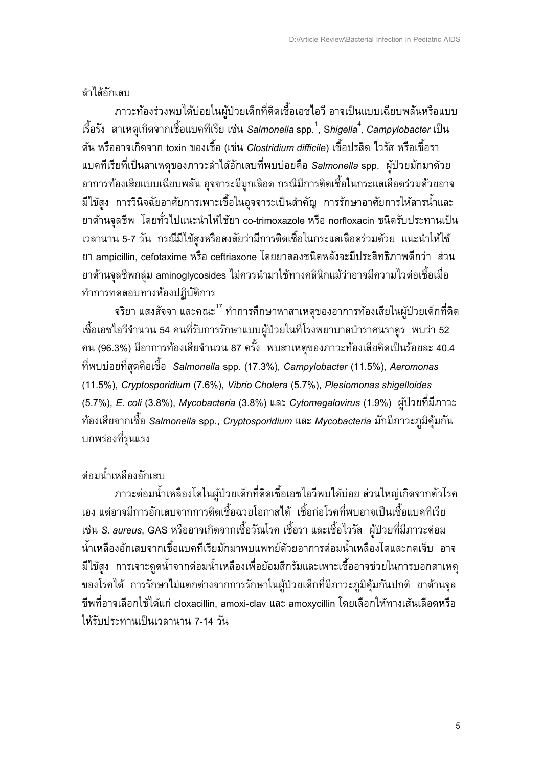#### ลำไส้กักเสบ

ภาวะท้องร่วงพบได้บ่อยในผู้ป่วยเด็กที่ติดเชื้อเอชไอวี อาจเป็นแบบเฉียบพลันหรือแบบ ้เรื้อรัง สาเหตุเกิดจากเชื้อแบคทีเรีย เช่น Salmonella spp. $^1$ , Shigella $^4$ , Campylobacter เป็น ี ต้น หรืออาจเกิดจาก toxin ของเชื้อ (เช่น Clostridium difficile) เชื้อปรสิต ไวรัส หรือเชื้อรา แบคทีเรียที่เป็นสาเหตุของภาวะลำไส้อักเสบที่พบบ่อยคือ Salmonella spp. ผู้ป่วยมักมาด้วย ้อาการท้องเสียแบบเฉียบพลัน อุจจาระมีมูกเลือด กรณีมีการติดเชื้อในกระแสเลือดร่วมด้วยอาจ ้มีไข้สูง การวินิจฉัยอาศัยการเพาะเชื้อในอุจจาระเป็นสำคัญ การรักษาอาศัยการให้สารน้ำและ ยาต้านจุลชีพ โดยทั่วไปแนะนำให้ใช้ยา co-trimoxazole หรือ norfloxacin ชนิดรับประทานเป็น ้เวลานาน 5-7 วัน กรณีมีไข้สูงหรือสงสัยว่ามีการติดเชื้อในกระแสเลือดร่วมด้วย แนะนำให้ใช้ ยา ampicillin, cefotaxime หรือ ceftriaxone โดยยาสองชนิดหลังจะมีประสิทธิภาพดีกว่า ส่วน ียาต้านจุลชีพกลุ่ม aminoglycosides ไม่ควรนำมาใช้ทางคลินิกแม้ว่าอาจมีความไวต่อเชื้อเมื่อ ทำการทดสอบทางห้องปฏิบัติการ

้จริยา แสงสัจจา และคณะ<sup>17</sup> ทำการศึกษาหาสาเหตุของอาการท้องเสียในผู้ป่วยเด็กที่ติด ้เชื้อเอชไอวีจำนวน 54 คนที่รับการรักษาแบบผู้ป่วยในที่โรงพยาบาลบำราศนราดูร<sup>์</sup> พบว่า 52 ึ คน (96.3%) มีอาการท้องเสียจำนวน 87 ครั้ง <sup>์</sup> พบสาเหตุของภาวะท้องเสียคิดเป็นร้อยละ 40.4 ีที่พบบ่อยที่สุดคือเชื้อ Salmonella spp. (17.3%), Campylobacter (11.5%), Aeromonas (11.5%), Cryptosporidium (7.6%), Vibrio Cholera (5.7%), Plesiomonas shigelloides (5.7%), E. coli (3.8%), Mycobacteria (3.8%) และ Cytomegalovirus (1.9%) ผู้ป่วยที่มีภาวะ ี ท้องเสียจากเชื้อ Salmonella spp., Cryptosporidium และ Mycobacteria มักมีภาวะภูมิคุ้มกัน บกพร่องที่รุนแรง

#### ต่อมน้ำเหลืองอักเสบ

ภาวะต่อมน้ำเหลืองโตในผู้ป่วยเด็กที่ติดเชื้อเอชไอวีพบได้บ่อย ส่วนใหญ่เกิดจากตัวโรค ้เอง แต่อาจมีการอักเสบจากการติดเชื้อฉวยโอกาสได้ เชื้อก่อโรคที่พบอาจเป็นเชื้อแบคทีเรีย เช่น S. aureus, GAS หรืออาจเกิดจากเชื้อวัณโรค เชื้อรา และเชื้อไวรัส ผู้ป่วยที่มีภาวะต่อม ้น้ำเหลืองอักเสบจากเชื้อแบคทีเรียมักมาพบแพทย์ด้วยอาการต่อมน้ำเหลืองโตและกดเจ็บ อาจ ้มีไข้สูง การเจาะดูดน้ำจากต่อมน้ำเหลืองเพื่อย้อมสีกรัมและเพาะเชื้ออาจช่วยในการบอกสาเหตุ ของโรคได้ การรักษาไม่แตกต่างจากการรักษาในผู้ป่วยเด็กที่มีภาวะภูมิคุ้มกันปกติ ยาต้านจุล ้ชีพที่อาจเลือกใช้ได้แก่ cloxacillin, amoxi-clav และ amoxycillin โดยเลือกให้ทางเส้นเลือดหรือ ให้รับประทานเป็นเวลานาน 7-14 วัน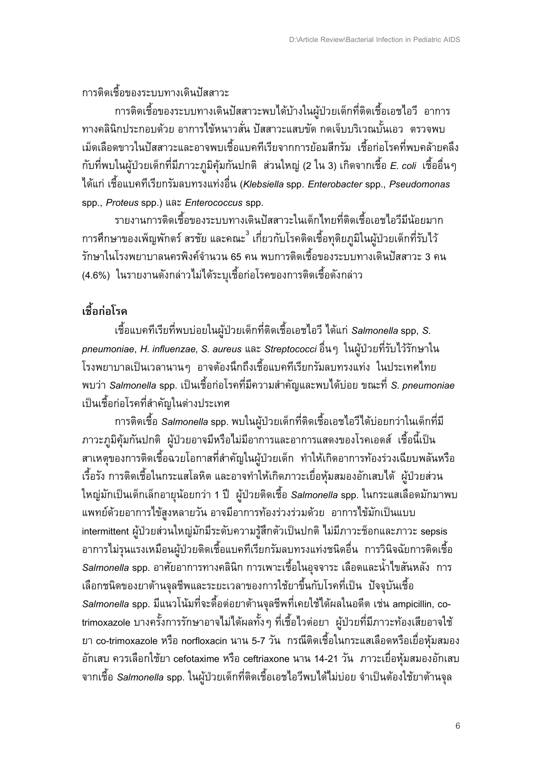การติดเชื้อของระบบทางเดินปัสสาวะ

การติดเชื้อของระบบทางเดินปัสสาวะพบได้บ้างในผู้ป่วยเด็กที่ติดเชื้อเอชไอวี อาการ ทางคลินิกประกอบด้วย อาการไข้หนาวสั่น ปัสสาวะแสบขัด กดเจ็บบริเวณบั้นเอว ตรวจพบ ้ เม็ดเลือดขาวในปัสสาวะและอาจพบเชื้อแบคทีเรียจากการย้อมสีกรัม เชื้อก่อโรคที่พบคล้ายคลึง ึกับที่พบในผู้ป่วยเด็กที่มีภาวะภูมิคุ้มกันปกติ ส่วนใหญ่ (2 ใน 3) เกิดจากเชื้อ *E. coli* เชื้ออื่นๆ J0.4กL \$HI54)-7\$&7Eก&!,K)&34L35HG (*Klebsiella* spp. *Enterobacter* spp., *Pseudomonas* spp., *Proteus* spp.) 4K( *Enterococcus* spp.

รายงานการติดเชื้อของระบบทางเดินปัสสาวะในเด็กไทยที่ติดเชื้อเอชไอวีมีน้อยมาก การศึกษาของเพ็ญพักตร์ สรชัย และคณะ<sup>3</sup> เกี่ยวกับโรคติดเชื้อทุติยภูมิในผู้ป่วยเด็กที่รับไว้ รักษาในโรงพยาบาลนครพิงค์จำนวน 65 คน พบการติดเชื้อของระบบทางเดินปัสสาวะ 3 คน (4.6%) ในรายงานดังกล่าวไม่ได้ระบุเชื้อก่อโรคของการติดเชื้อดังกล่าว

# เชื้อก่อโรค

 \$HI54)-7\$&7E7G ))L5E@A+.BCDE\$0Fก7G60\$HI5\$5J5D7 J0.4กL *Salmonella* spp, *S. pneumoniae, H. influenzae, S. aureus* และ *Streptococci* อื่นๆ ในผู้ป่วยที่รับไว้รักษาใน โรงพยาบาลเป็นเวลานานๆ อาจต้องนึกถึงเชื้อแบคทีเรียกรัมลบทรงแท่ง ในประเทศไทย ้ พบว่า *Salmonella* spp. เป็นเชื้อก่อโรคที่มีความสำคัญและพบได้บ่อย ขณะที่ *S. pneumoniae* ้เป็นเชื้อก่อโรคที่สำคัญในต่างประเทศ

การติดเชื้อ *Salmonella* spp. พบในผู้ป่วยเด็กที่ติดเชื้อเอชไอวีได้บ่อยกว่าในเด็กที่มี ี ภาวะภูมิคุ้มกันปกติ ผู้ป่วยอาจมีหรือไม่มีอาการและอาการแสดงของโรคเอดส์ เชื้อนี้เป็น สาเหตุของการติดเชื้อฉวยโอกาสที่สำคัญในผู้ป่วยเด็ก ทำให้เกิดอาการท้องร่วงเฉียบพลันหรือ เรื้อรัง การติดเชื้อในกระแสโลหิต และอาจทำให้เกิดภาวะเยื่อหุ้มสมองอักเสบได้ ผู้ป่วยส่วน ์ใหญ่มักเป็นเด็กเล็กอายุน้อยกว่า 1 ปี ผู้ป่วยติดเชื้อ *Salmonella* spp. ในกระแสเลือดมักมาพบ แพทย์ด้วยอาการไข้สูงหลายวัน อาจมีอาการท้องร่วงร่วมด้วย อาการไข้มักเป็นแบบ intermittent ผู้ป่วยส่วนใหญ่มักมีระดับความรู้สึกตัวเป็นปกติ ไม่มีภาวะช็อกและภาวะ sepsis ้อาการไม่รุนแรงเหมือนผู้ป่วยติดเชื้อแบคทีเรียกรัมลบทรงแท่งชนิดอื่น การวินิจฉัยการติดเชื้อ *Salmonella* spp. อาศัยอาการทางคลินิก การเพาะเชื้อในอุจจาระ เลือดและน้ำไขสันหลัง การ เลือกชนิดของยาต้านจุลชีพและระยะเวลาของการใช้ยาขึ้นกับโรคที่เป็น ปัจจุบันเชื้อ *Salmonella* spp. มีแนวโน้มที่จะดื้อต่อยาต้านจุลชีพที่เคยใช้ได้ผลในอดีต เช่น ampicillin, cotrimoxazole บางครั้งการรักษาอาจไม่ได้ผลทั้งๆ ที่เชื้อไวต่อยา ผู้ป่วยที่มีภาวะท้องเสียอาจใช้ ยา co-trimoxazole หรือ norfloxacin นาน 5-7 วัน กรณีติดเชื้อในกระแสเลือดหรือเยื่อหุ้มสมอง ี อักเสบ ควรเลือกใช้ยา cefotaxime หรือ ceftriaxone นาน 14-21 วัน ภาวะเยื่อหุ้มสมองอักเสบ ี จากเชื้อ *Salmonella* spp. ในผู้ป่วยเด็กที่ติดเชื้อเอชไอวีพบได้ไม่บ่อย จำเป็นต้องใช้ยาต้านจุล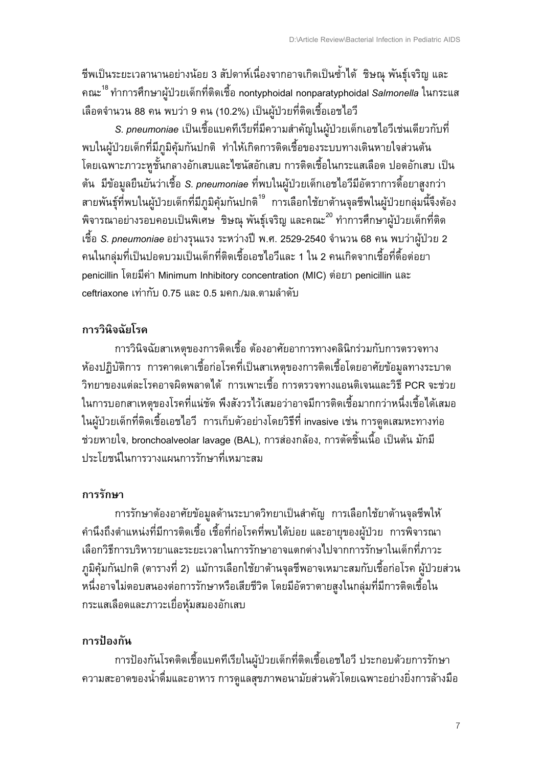ชีพเป็นระยะเวลานานอย่างน้อย 3 สัปดาห์เนื่องจากอาจเกิดเป็นซ้ำได้ ชิษณุ พันธุ์เจริญ และ คณะ<sup>18</sup> ทำการศึกษาผู้ป่วยเด็กที่ติดเชื้อ nontyphoidal nonparatyphoidal S*almonella* ในกระแส เลือดจำนวน 88 คน พบว่า 9 คน (10.2%) เป็นผู้ป่วยที่ติดเชื้อเอชไอวี

*S. pneumoniae* เป็นเชื้อแบคทีเรียที่มีความสำคัญในผู้ป่วยเด็กเอชไอวีเช่นเดียวกับที่ ้ พบในผู้ป่วยเด็กที่มีภูมิคุ้มกันปกติ ทำให้เกิดการติดเชื้อของระบบทางเดินหายใจส่วนต้น โดยเฉพาะภาวะหูชั้นกลางอักเสบและไซนัสอักเสบ การติดเชื้อในกระแสเลือด ปอดอักเสบ เป็น ี ต้น มีข้อมูลยืนยันว่าเชื้อ *S. pneumoniae* ที่พบในผู้ป่วยเด็กเอชไอวีมีอัตราการดื้อยาสูงกว่า ี สายพันธุ์ที่พบในผู้ป่วยเด็กที่มีภูมิคุ้มกันปกติ<sup>19</sup> การเลือกใช้ยาต้านจุลชีพในผู้ป่วยกลุ่มนี้จึงต้อง ี พิจารณาอย่างรอบคอบเป็นพิเศษ ชิษณุ พันธุ์เจริญ และคณะ<sup>20</sup> ทำการศึกษาผู้ป่วยเด็กที่ติด ์เชื้อ *S. pneumoniae* อย่างรุนแรง ระหว่างปี พ.ศ. 2529-2540 จำนวน 68 คน พบว่าผู้ป่วย 2 ี คนในกลุ่มที่เป็นปอดบวมเป็นเด็กที่ติดเชื้อเอชไอวีและ 1 ใน 2 คนเกิดจากเชื้อที่ดื้อต่อยา penicillin โดยมีค่า Minimum Inhibitory concentration (MIC) ต่อยา penicillin และ ceftriaxone เท่ากับ 0.75 และ 0.5 มคก./มล.ตามลำดับ

## การวินิจฉัยโรค

การวินิจฉัยสาเหตุของการติดเชื้อ ต้องอาศัยอาการทางคลินิกร่วมกับการตรวจทาง ห้องปฏิบัติการ การคาดเดาเชื้อก่อโรคที่เป็นสาเหตุของการติดเชื้อโดยอาศัยข้อมูลทางระบาด ี วิทยาของแต่ละโรคอาจผิดพลาดได้ การเพาะเชื้อ การตรวจทางแอนติเจนและวิธี PCR จะช่วย ในการบอกสาเหตฺของโรคที่แน่ชัด พึงสังวรไว้เสมอว่าอาจมีการติดเชื้อมากกว่าหนึ่งเชื้อได้เสมอ ในผู้ป่วยเด็กที่ติดเชื้อเอชไอวี การเก็บตัวอย่างโดยวิธีที่ invasive เช่น การดูดเสมหะทางท่อ ี ช่วยหายใจ, bronchoalveolar lavage (BAL), การส่องกล้อง, การตัดชิ้นเนื้อ เป็นต้น มักมี ประโยชน์ในการวางแผนการรักษาที่เหมาะสม

## ิการรักษา

การรักษาต้องอาศัยข้อมูลด้านระบาดวิทยาเป็นสำคัญ การเลือกใช้ยาต้านจุลชีพให้ ้คำนึงถึงตำแหน่งที่มีการติดเชื้อ เชื้อที่ก่อโรคที่พบได้บ่อย และอายุของผู้ป่วย การพิจารณา เลือกวิธีการบริหารยาและระยะเวลาในการรักษาอาจแตกต่างไปจากการรักษาในเด็กที่ภาวะ .ภูมิคุ้มกันปกติ (ตารางที่ 2) แม้การเลือกใช้ยาต้านจุลชีพอาจเหมาะสมกับเชื้อก่อโรค ผู้ป่วยส่วน หนึ่งอาจไม่ตอบสนองต่อการรักษาหรือเสียชีวิต โดยมีอัตราตายสูงในกลุ่มที่มีการติดเชื้อใน กระแสเลือดและภาวะเยื่อหุ้มสมองอักเสบ

## ิการป้องกัน

การป้องกันโรคติดเชื้อแบคทีเรียในผู้ป่วยเด็กที่ติดเชื้อเอชไอวี ประกอบด้วยการรักษา ความสะอาดของน้ำดื่มและอาหาร การดูแลสุขภาพอนามัยส่วนตัวโดยเฉพาะอย่างยิ่งการล้างมือ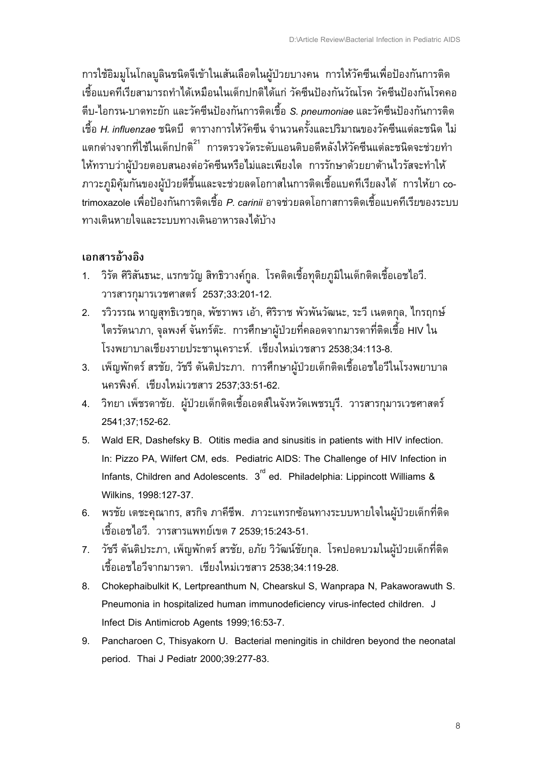การใช้อิมมูโนโกลบูลินชนิดจีเข้าในเส้นเลือดในผู้ป่วยบางคน การให้วัคซีนเพื่อป้องกันการติด ้เชื้อแบคทีเรียสามารถทำได้เหมือนในเด็กปกติได้แก่ วัคซีนป้องกันวัณโรค วัคซีนป้องกันโรคคอ ้ตีบ-ไอกรน-บาดทะยัก และวัคซีนป้องกันการติดเชื้อ S. pneumoniae และวัคซีนป้องกันการติด ้เชื้อ *H. influenzae* ชนิดบี ตารางการให้วัคซีน จำนวนครั้งและปริมาณของวัคซีนแต่ละชนิด ไม่ แตกต่างจากที่ใช้ในเด็กปกติ<sup>21</sup> การตรวจวัดระดับแอนติบอดีหลังให้วัคซีนแต่ละชนิดจะช่วยทำ ให้ทราบว่าผู้ป่วยตอบสนองต่อวัคซีนหรือไม่และเพียงใด การรักษาด้วยยาต้านไวรัสจะทำให้ .<br>ภาวะภูมิคุ้มกันของผู้ป่วยดีขึ้นและจะช่วยลดโอกาสในการติดเชื้อแบคทีเรียลงได้ การให้ยา cotrimoxazole เพื่อป้องกันการติดเชื้อ *P. carinii* อาจช่วยลดโอกาสการติดเชื้อแบคทีเรียของระบบ ทางเดินหายใจและระบบทางเดินอาหารลงได้บ้าง

#### เอกสารอ้างอิง

- 1. วิรัต ศิริสันธนะ, แรกขวัญ สิทธิวางค์กูล. โรคติดเชื้อทุติยภูมิในเด็กติดเชื้อเอชไอวี. วารสารกุมารเวชศาสตร์ 2537;33:201-12.
- 2. รวิวรรณ หาญสุทธิเวชกุล, พัชราพร เอ้า, ศิริราช พัวพันวัฒนะ, ระวี เนตตกุล, ไกรฤกษ์ ี ไตรรัตนาภา, จุลพงศ์ จันทร์ต๊ะ. การศึกษาผู้ป่วยที่คลอดจากมารดาที่ติดเชื้อ HIV ใน โรงพยาบาลเชียงรายประชานุเคราะห์. เชียงใหม่เวชสาร 2538;34:113-8.
- ่ 3. เพ็ญพักตร์ สรชัย, วัชรี ตันติประภา. การศึกษาผู้ป่วยเด็กติดเชื้อเอชไอวีในโรงพยาบาล ินครพิงค์, เชียงใหม่เวชสาร 2537:33:51-62.
- 4. วิทยา เพ็ชรดาชัย. ผู้ป่วยเด็กติดเชื้อเอดส์ในจังหวัดเพชรบุรี. วารสารกุมารเวชศาสตร์ 2541;37;152-62.
- 5. Wald ER, Dashefsky B. Otitis media and sinusitis in patients with HIV infection. In: Pizzo PA, Wilfert CM, eds. Pediatric AIDS: The Challenge of HIV Infection in Infants, Children and Adolescents. 3<sup>rd</sup> ed. Philadelphia: Lippincott Williams & Wilkins. 1998:127-37.
- 6. พรชัย เตชะคุณากร, สรกิจ ภาคีชีพ. ภาวะแทรกซ้อนทางระบบหายใจในผู้ป่วยเด็กที่ติด เชื้อเอชไอวี. วารสารแพทย์เขต 7 2539:15:243-51.
- 7. วัชรี ตันติประภา, เพ็ญพักตร์ สรชัย, อภัย วิวัฒน์ชัยกุล. โรคปอดบวมในผู้ป่วยเด็กที่ติด ้เชื้อเอชไอวีจากมารดา...เชียงใหม่เวชสาร 2538:34:119-28.
- 8. Chokephaibulkit K, Lertpreanthum N, Chearskul S, Wanprapa N, Pakaworawuth S. Pneumonia in hospitalized human immunodeficiency virus-infected children. J Infect Dis Antimicrob Agents 1999;16:53-7.
- 9. Pancharoen C, Thisyakorn U. Bacterial meningitis in children beyond the neonatal period. Thai J Pediatr 2000:39:277-83.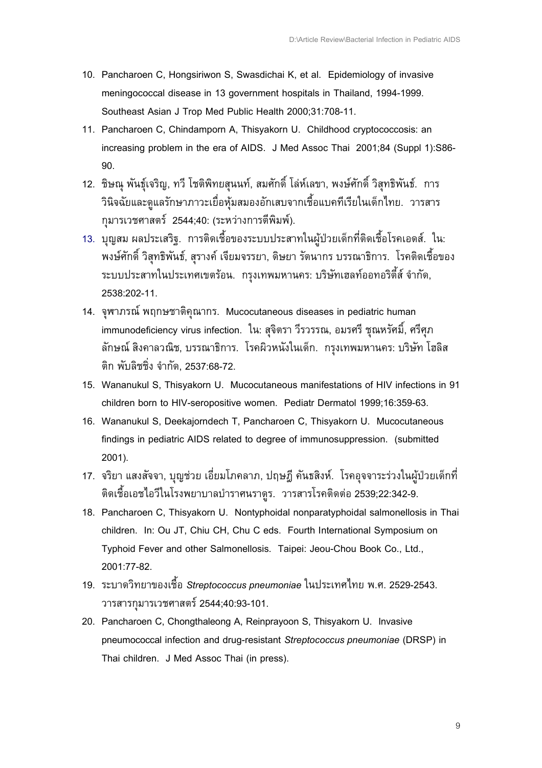- 10. Pancharoen C, Hongsiriwon S, Swasdichai K, et al. Epidemiology of invasive meningococcal disease in 13 government hospitals in Thailand, 1994-1999. Southeast Asian J Trop Med Public Health 2000;31:708-11.
- 11. Pancharoen C, Chindamporn A, Thisyakorn U. Childhood cryptococcosis: an increasing problem in the era of AIDS. J Med Assoc Thai 2001;84 (Suppl 1):S86-90
- 12. ชิษณุ พันธุ์เจริญ, ทวี โชติพิทยสุนนท์, สมศักดิ์ โล่ห์เลขา, พงษ์ศักดิ์ วิสุทธิพันธ์. การ ้วินิจฉัยและดูแลรักษาภาวะเยื่อหุ้มสมองอักเสบจากเชื้อแบคทีเรียในเด็กไทย. วารสาร กุมารเวชศาสตร์ 2544;40: (ระหว่างการตีพิมพ์).
- 13. บุญสม ผลประเสริฐ. การติดเชื้อของระบบประสาทในผู้ป่วยเด็กที่ติดเชื้อโรคเอดส์. ใน: ้พงษ์ศักดิ์ วิสุทธิพันธ์, สุรางค์ เจียมจรรยา, ดิษยา รัตนากร บรรณาธิการ. โรคติดเชื้อของ ระบบประสาทในประเทศเขตร้อน. กรุงเทพมหานคร: บริษัทเฮลท์ออทอริตี้ส์ จำกัด, 2538:202-11.
- 14. จุพาภรณ์ พฤกษชาติคุณากร. Mucocutaneous diseases in pediatric human immunodeficiency virus infection. ใน: สุจิตรา วีรวรรณ, อมรศรี ชุณหรัศมิ์, ศรีศุภ ลักษณ์ สิงคาลวณิช, บรรณาธิการ. โรคผิวหนังในเด็ก. กรุงเทพมหานคร: บริษัท โฮลิส ติก พับลิชชิ่ง จำกัด. 2537:68-72.
- 15. Wananukul S, Thisyakorn U. Mucocutaneous manifestations of HIV infections in 91 children born to HIV-seropositive women. Pediatr Dermatol 1999;16:359-63.
- 16. Wananukul S, Deekajorndech T, Pancharoen C, Thisyakorn U. Mucocutaneous findings in pediatric AIDS related to degree of immunosuppression. (submitted 2001).
- 17. จริยา แสงสัจจา, บุญช่วย เอี่ยมโภคลาภ, ปฤษฎี คันธสิงห์. โรคอุจจาระร่วงในผู้ป่วยเด็กที่ ้ติดเชื้อเอชไอวีในโรงพยาบาลบำราศนราดูร. วารสารโรคติดต่อ 2539;22:342-9.
- 18. Pancharoen C, Thisyakorn U. Nontyphoidal nonparatyphoidal salmonellosis in Thai children. In: Ou JT, Chiu CH, Chu C eds. Fourth International Symposium on Typhoid Fever and other Salmonellosis. Taipei: Jeou-Chou Book Co., Ltd.,  $2001.77 - 82$
- 19. ระบาดวิทยาของเชื้อ Streptococcus pneumoniae ในประเทศไทย พ.ศ. 2529-2543. วารสารกมารเวชศาสตร์ 2544;40:93-101.
- 20. Pancharoen C, Chongthaleong A, Reinprayoon S, Thisyakorn U. Invasive pneumococcal infection and drug-resistant Streptococcus pneumoniae (DRSP) in Thai children. J Med Assoc Thai (in press).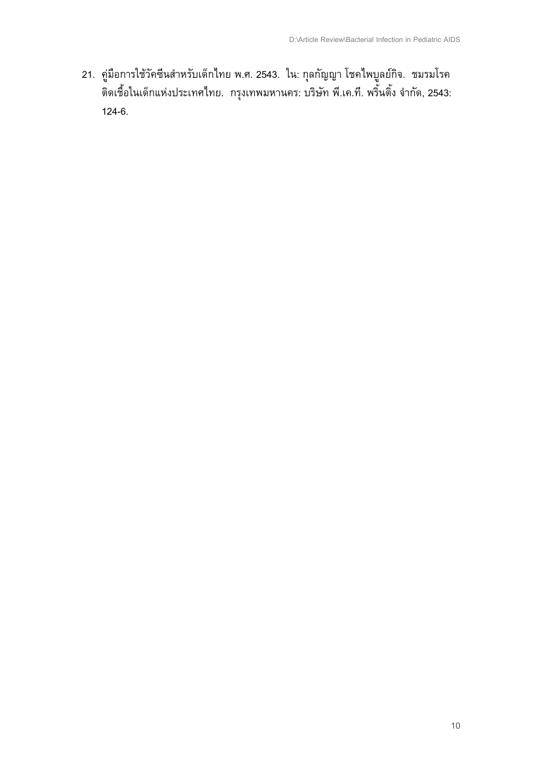21. คู่มือการใช้วัคซีนสำหรับเด็กไทย พ.ศ. 2543. ใน: กุลกัญญา โชคไพบูลย์กิจ. ชมรมโรค<br>ติดเชื้อในเด็กแห่งประเทศไทย. กรุงเทพมหานคร: บริษัท พี.เค.ที. พริ้นติ้ง จำกัด, 2543:  $124-6.$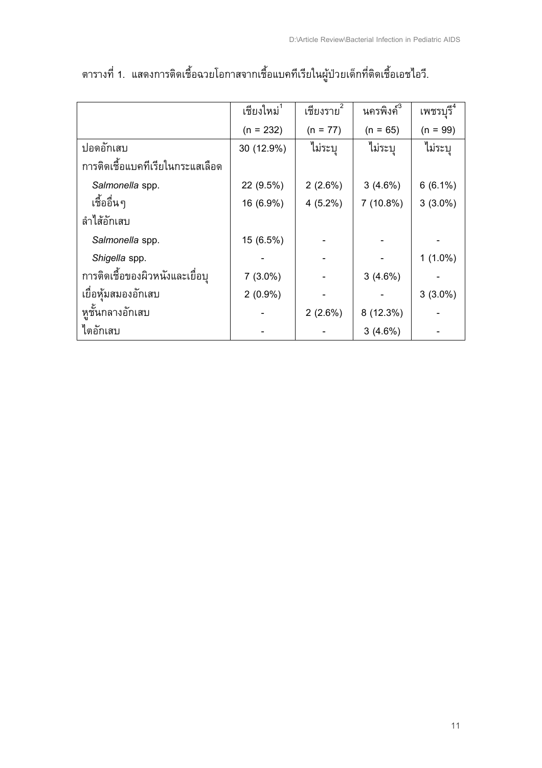|                                  | ้เชียงใหม่ <sup>1</sup> | เชียงราย <sup>2</sup> | นครพิงค์ <sup>3</sup> | เพชรบุรี <sup>4</sup> |
|----------------------------------|-------------------------|-----------------------|-----------------------|-----------------------|
|                                  | $(n = 232)$             | $(n = 77)$            | $(n = 65)$            | $(n = 99)$            |
| ปอดอักเสบ                        | 30 (12.9%)              | ไม่ระบุ               | ไม่ระบุ               | ไม่ระบุ               |
| การติดเชื้อแบคทีเรียในกระแสเลือด |                         |                       |                       |                       |
| Salmonella spp.                  | 22 (9.5%)               | 2(2.6%)               | 3(4.6%)               | $6(6.1\%)$            |
| เชื้ออื่นๆ                       | 16 (6.9%)               | $4(5.2\%)$            | 7(10.8%)              | $3(3.0\%)$            |
| ลำไส้อักเสบ                      |                         |                       |                       |                       |
| Salmonella spp.                  | 15 (6.5%)               |                       |                       |                       |
| Shigella spp.                    |                         |                       |                       | $1(1.0\%)$            |
| การติดเชื้อของผิวหนังและเยื่อบุ  | $7(3.0\%)$              |                       | 3(4.6%)               |                       |
| เยื่อห้มสมองอักเสบ               | $2(0.9\%)$              |                       |                       | $3(3.0\%)$            |
| หูชั้นกลางอักเสบ                 |                         | 2(2.6%)               | 8 (12.3%)             |                       |
| ใตอักเสบ                         |                         |                       | 3(4.6%)               |                       |

# ตารางที่ 1. แสดงการติดเชื้อฉวยโอกาสจากเชื้อแบคทีเรียในผู้ป่วยเด็กที่ติดเชื้อเอชไอวี.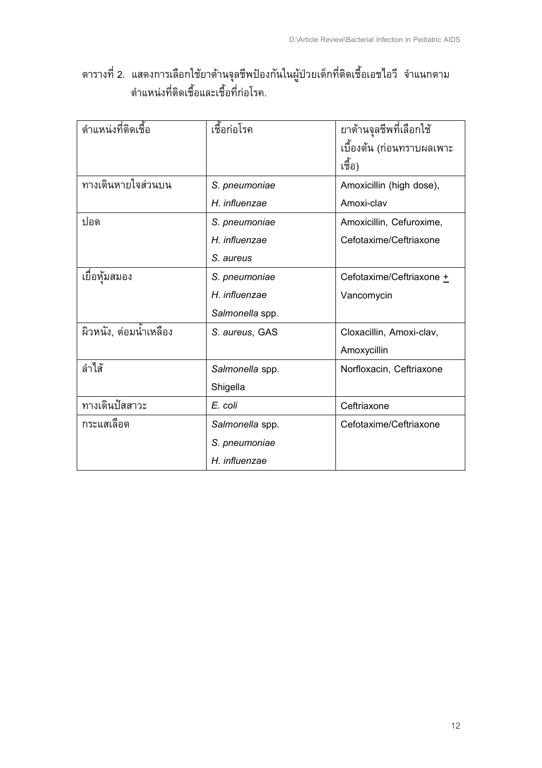## ตารางที่ 2. แสดงการเลือกใช้ยาต้านจุลชีพป้องกันในผู้ป่วยเด็กที่ติดเชื้อเอชไอวี จำแนกตาม ตำแหน่งที่ติดเชื้อและเชื้อที่ก่อโรค.

| ้ตำแหน่งที่ติดเชื้อ    | เชื้อก่อโรค     | ยาต้านจุลชีพที่เลือกใช้   |  |
|------------------------|-----------------|---------------------------|--|
|                        |                 | เบื้องต้น (ก่อนทราบผลเพาะ |  |
|                        |                 | เชื้อ)                    |  |
| ทางเดินหายใจส่วนบน     | S. pneumoniae   | Amoxicillin (high dose),  |  |
|                        | H. influenzae   | Amoxi-clav                |  |
| ปอด                    | S. pneumoniae   | Amoxicillin, Cefuroxime,  |  |
|                        | H. influenzae   | Cefotaxime/Ceftriaxone    |  |
|                        | S. aureus       |                           |  |
| เยื่อหุ้มสมอง          | S. pneumoniae   | Cefotaxime/Ceftriaxone +  |  |
|                        | H. influenzae   | Vancomycin                |  |
|                        | Salmonella spp. |                           |  |
| ผิวหนัง, ต่อมน้ำเหลือง | S. aureus, GAS  | Cloxacillin, Amoxi-clav,  |  |
|                        |                 | Amoxycillin               |  |
| ลำไส้                  | Salmonella spp. | Norfloxacin, Ceftriaxone  |  |
|                        | Shigella        |                           |  |
| ทางเดินปัสสาวะ         | E. coli         | Ceftriaxone               |  |
| กระแสเลือด             | Salmonella spp. | Cefotaxime/Ceftriaxone    |  |
|                        | S. pneumoniae   |                           |  |
|                        | H. influenzae   |                           |  |